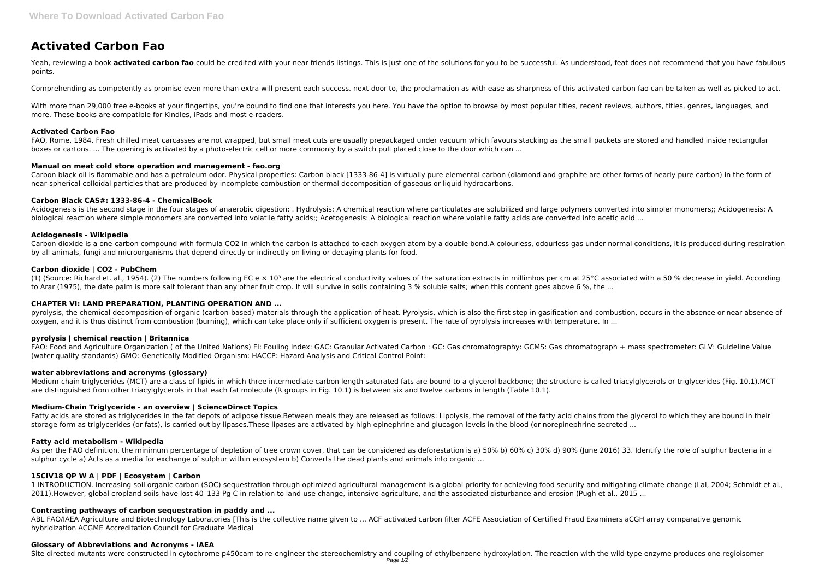# **Activated Carbon Fao**

Yeah, reviewing a book activated carbon fao could be credited with your near friends listings. This is just one of the solutions for you to be successful. As understood, feat does not recommend that you have fabulous points.

Comprehending as competently as promise even more than extra will present each success. next-door to, the proclamation as with ease as sharpness of this activated carbon fao can be taken as well as picked to act.

With more than 29,000 free e-books at your fingertips, you're bound to find one that interests you here. You have the option to browse by most popular titles, recent reviews, authors, titles, genres, languages, and more. These books are compatible for Kindles, iPads and most e-readers.

# **Activated Carbon Fao**

FAO, Rome, 1984. Fresh chilled meat carcasses are not wrapped, but small meat cuts are usually prepackaged under vacuum which favours stacking as the small packets are stored and handled inside rectangular boxes or cartons. ... The opening is activated by a photo-electric cell or more commonly by a switch pull placed close to the door which can ...

Acidogenesis is the second stage in the four stages of anaerobic digestion: . Hydrolysis: A chemical reaction where particulates are solubilized and large polymers converted into simpler monomers;; Acidogenesis: A biological reaction where simple monomers are converted into volatile fatty acids;; Acetogenesis: A biological reaction where volatile fatty acids are converted into acetic acid ...

# **Manual on meat cold store operation and management - fao.org**

Carbon black oil is flammable and has a petroleum odor. Physical properties: Carbon black [1333-86-4] is virtually pure elemental carbon (diamond and graphite are other forms of nearly pure carbon) in the form of near-spherical colloidal particles that are produced by incomplete combustion or thermal decomposition of gaseous or liquid hydrocarbons.

(1) (Source: Richard et. al., 1954). (2) The numbers following EC e  $\times$  10<sup>3</sup> are the electrical conductivity values of the saturation extracts in millimhos per cm at 25°C associated with a 50 % decrease in vield. Accord to Arar (1975), the date palm is more salt tolerant than any other fruit crop. It will survive in soils containing 3 % soluble salts; when this content goes above 6 %, the ...

# **Carbon Black CAS#: 1333-86-4 - ChemicalBook**

pyrolysis, the chemical decomposition of organic (carbon-based) materials through the application of heat. Pyrolysis, which is also the first step in gasification and combustion, occurs in the absence or near absence of oxygen, and it is thus distinct from combustion (burning), which can take place only if sufficient oxygen is present. The rate of pyrolysis increases with temperature. In ...

Medium-chain triglycerides (MCT) are a class of lipids in which three intermediate carbon length saturated fats are bound to a glycerol backbone; the structure is called triacylglycerols or triglycerides (Fig. 10.1).MCT are distinguished from other triacylglycerols in that each fat molecule (R groups in Fig. 10.1) is between six and twelve carbons in length (Table 10.1).

# **Acidogenesis - Wikipedia**

Carbon dioxide is a one-carbon compound with formula CO2 in which the carbon is attached to each oxygen atom by a double bond.A colourless, odourless gas under normal conditions, it is produced during respiration by all animals, fungi and microorganisms that depend directly or indirectly on living or decaying plants for food.

Fatty acids are stored as triglycerides in the fat depots of adipose tissue.Between meals they are released as follows: Lipolysis, the removal of the fatty acid chains from the glycerol to which they are bound in their storage form as triglycerides (or fats), is carried out by lipases.These lipases are activated by high epinephrine and glucagon levels in the blood (or norepinephrine secreted ...

# **Carbon dioxide | CO2 - PubChem**

As per the FAO definition, the minimum percentage of depletion of tree crown cover, that can be considered as deforestation is a) 50% b) 60% c) 30% d) 90% (June 2016) 33. Identify the role of sulphur bacteria in a sulphur cycle a) Acts as a media for exchange of sulphur within ecosystem b) Converts the dead plants and animals into organic ...

# **CHAPTER VI: LAND PREPARATION, PLANTING OPERATION AND ...**

#### **pyrolysis | chemical reaction | Britannica**

FAO: Food and Agriculture Organization ( of the United Nations) FI: Fouling index: GAC: Granular Activated Carbon : GC: Gas chromatography: GCMS: Gas chromatograph + mass spectrometer: GLV: Guideline Value (water quality standards) GMO: Genetically Modified Organism: HACCP: Hazard Analysis and Critical Control Point:

#### **water abbreviations and acronyms (glossary)**

#### **Medium-Chain Triglyceride - an overview | ScienceDirect Topics**

# **Fatty acid metabolism - Wikipedia**

# **15CIV18 QP W A | PDF | Ecosystem | Carbon**

1 INTRODUCTION. Increasing soil organic carbon (SOC) sequestration through optimized agricultural management is a global priority for achieving food security and mitigating climate change (Lal, 2004; Schmidt et al., 2011).However, global cropland soils have lost 40–133 Pg C in relation to land-use change, intensive agriculture, and the associated disturbance and erosion (Pugh et al., 2015 ...

# **Contrasting pathways of carbon sequestration in paddy and ...**

ABL FAO/IAEA Agriculture and Biotechnology Laboratories [This is the collective name given to ... ACF activated carbon filter ACFE Association of Certified Fraud Examiners aCGH array comparative genomic hybridization ACGME Accreditation Council for Graduate Medical

#### **Glossary of Abbreviations and Acronyms - IAEA**

Site directed mutants were constructed in cytochrome p450cam to re-engineer the stereochemistry and coupling of ethylbenzene hydroxylation. The reaction with the wild type enzyme produces one regioisomer